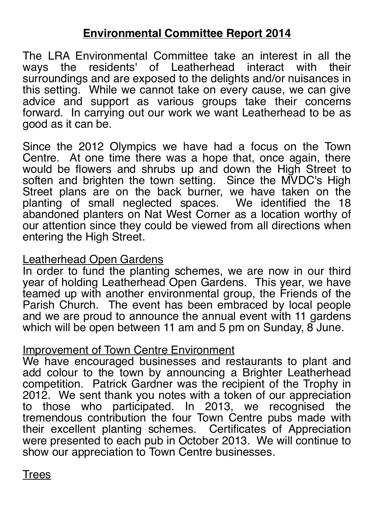# **Environmental Committee Report 2014**

The LRA Environmental Committee take an interest in all the ways the residents' of Leatherhead interact with their the residents' of Leatherhead interact with surroundings and are exposed to the delights and/or nuisances in this setting. While we cannot take on every cause, we can give advice and support as various groups take their concerns forward. In carrying out our work we want Leatherhead to be as good as it can be.

Since the 2012 Olympics we have had a focus on the Town Centre. At one time there was a hope that, once again, there would be flowers and shrubs up and down the High Street to soften and brighten the town setting. Since the MVDC's High Street plans are on the back burner, we have taken on the planting of small neglected spaces. We identified the 18 abandoned planters on Nat West Corner as a location worthy of our attention since they could be viewed from all directions when entering the High Street.

## Leatherhead Open Gardens

In order to fund the planting schemes, we are now in our third year of holding Leatherhead Open Gardens. This year, we have teamed up with another environmental group, the Friends of the Parish Church. The event has been embraced by local people and we are proud to announce the annual event with 11 gardens which will be open between 11 am and 5 pm on Sunday, 8 June.

# Improvement of Town Centre Environment

We have encouraged businesses and restaurants to plant and add colour to the town by announcing a Brighter Leatherhead competition. Patrick Gardner was the recipient of the Trophy in 2012. We sent thank you notes with a token of our appreciation to those who participated. In 2013, we recognised the tremendous contribution the four Town Centre pubs made with their excellent planting schemes. Certificates of Appreciation were presented to each pub in October 2013. We will continue to show our appreciation to Town Centre businesses.

**Trees**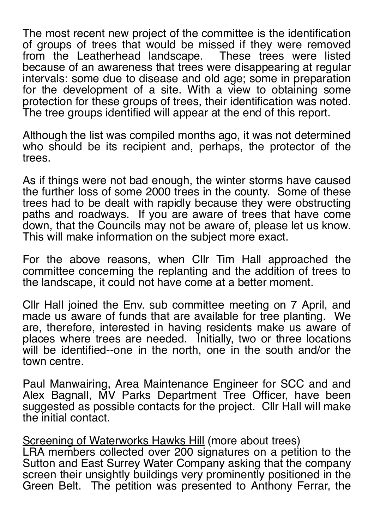The most recent new project of the committee is the identification of groups of trees that would be missed if they were removed from the Leatherhead landscape. These trees were listed because of an awareness that trees were disappearing at regular intervals: some due to disease and old age; some in preparation for the development of a site. With a view to obtaining some protection for these groups of trees, their identification was noted. The tree groups identified will appear at the end of this report.

Although the list was compiled months ago, it was not determined who should be its recipient and, perhaps, the protector of the trees.

As if things were not bad enough, the winter storms have caused the further loss of some 2000 trees in the county. Some of these trees had to be dealt with rapidly because they were obstructing paths and roadways. If you are aware of trees that have come down, that the Councils may not be aware of, please let us know. This will make information on the subject more exact.

For the above reasons, when Cllr Tim Hall approached the committee concerning the replanting and the addition of trees to the landscape, it could not have come at a better moment.

Cllr Hall joined the Env. sub committee meeting on 7 April, and made us aware of funds that are available for tree planting. We are, therefore, interested in having residents make us aware of places where trees are needed. Initially, two or three locations will be identified--one in the north, one in the south and/or the town centre.

Paul Manwairing, Area Maintenance Engineer for SCC and and Alex Bagnall, MV Parks Department Tree Officer, have been suggested as possible contacts for the project. Cllr Hall will make the initial contact.

Screening of Waterworks Hawks Hill (more about trees) LRA members collected over 200 signatures on a petition to the

Sutton and East Surrey Water Company asking that the company screen their unsightly buildings very prominently positioned in the Green Belt. The petition was presented to Anthony Ferrar, the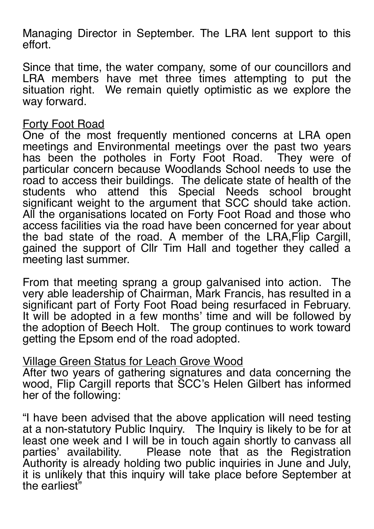Managing Director in September. The LRA lent support to this effort.

Since that time, the water company, some of our councillors and LRA members have met three times attempting to put the situation right. We remain quietly optimistic as we explore the way forward.

#### Forty Foot Road

One of the most frequently mentioned concerns at LRA open meetings and Environmental meetings over the past two years has been the potholes in Forty Foot Road. They were of particular concern because Woodlands School needs to use the road to access their buildings. The delicate state of health of the students who attend this Special Needs school brought significant weight to the argument that SCC should take action. All the organisations located on Forty Foot Road and those who access facilities via the road have been concerned for year about the bad state of the road. A member of the LRA,Flip Cargill, gained the support of Cllr Tim Hall and together they called a meeting last summer.

From that meeting sprang a group galvanised into action. The very able leadership of Chairman, Mark Francis, has resulted in a significant part of Forty Foot Road being resurfaced in February. It will be adopted in a few months' time and will be followed by the adoption of Beech Holt. The group continues to work toward getting the Epsom end of the road adopted.

#### Village Green Status for Leach Grove Wood

After two years of gathering signatures and data concerning the wood, Flip Cargill reports that SCC's Helen Gilbert has informed her of the following:

"I have been advised that the above application will need testing at a non-statutory Public Inquiry. The Inquiry is likely to be for at least one week and I will be in touch again shortly to canvass all parties' availability. Please note that as the Registration Authority is already holding two public inquiries in June and July, it is unlikely that this inquiry will take place before September at the earliest"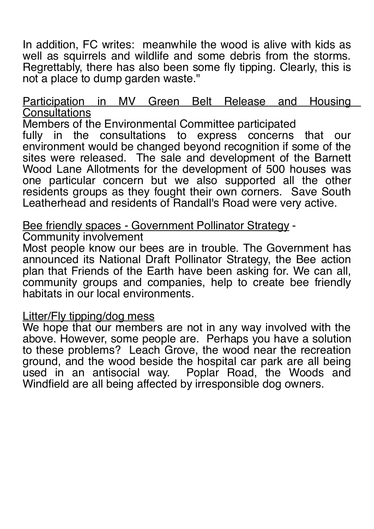In addition, FC writes: meanwhile the wood is alive with kids as well as squirrels and wildlife and some debris from the storms. Regrettably, there has also been some fly tipping. Clearly, this is not a place to dump garden waste."

## Participation in MV Green Belt Release and Housing **Consultations**

Members of the Environmental Committee participated fully in the consultations to express concerns that our environment would be changed beyond recognition if some of the sites were released. The sale and development of the Barnett Wood Lane Allotments for the development of 500 houses was one particular concern but we also supported all the other residents groups as they fought their own corners. Save South Leatherhead and residents of Randall's Road were very active.

Bee friendly spaces - Government Pollinator Strategy -

Community involvement

Most people know our bees are in trouble. The Government has announced its National Draft Pollinator Strategy, the Bee action plan that Friends of the Earth have been asking for. We can all, community groups and companies, help to create bee friendly habitats in our local environments.

#### Litter/Fly tipping/dog mess

We hope that our members are not in any way involved with the above. However, some people are. Perhaps you have a solution to these problems? Leach Grove, the wood near the recreation ground, and the wood beside the hospital car park are all being used in an antisocial way. Poplar Road, the Woods and Windfield are all being affected by irresponsible dog owners.